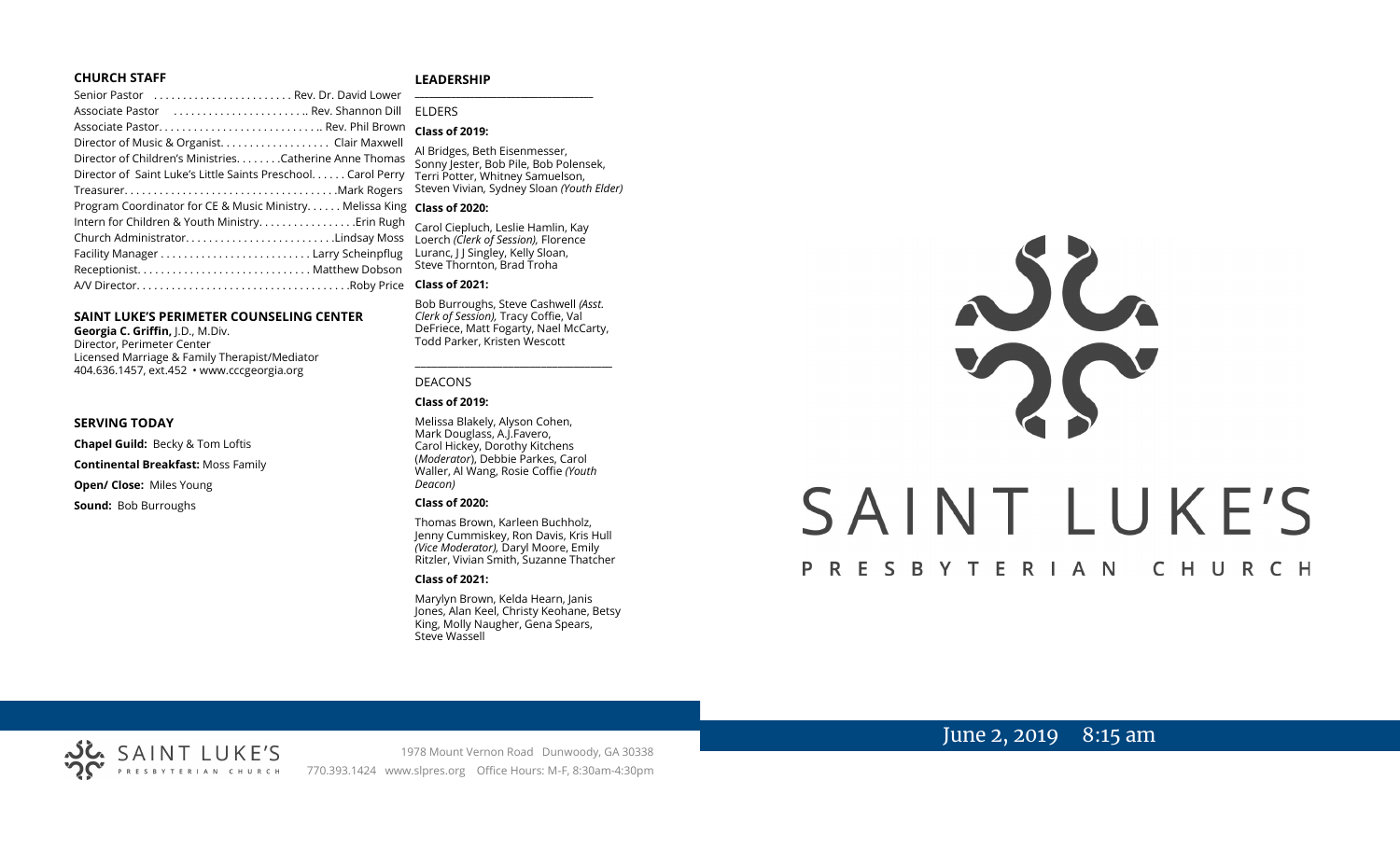## **CHURCH STAFF**

#### **LEADERSHIP**

| Senior Pastor  Rev. Dr. David Lower                           | $\overline{\phantom{0}}$ |
|---------------------------------------------------------------|--------------------------|
| Associate Pastor  Rev. Shannon Dill                           | ΕI                       |
|                                                               | <b>CI</b>                |
| Director of Music & Organist. Clair Maxwell                   | AI                       |
| Director of Children's MinistriesCatherine Anne Thomas        | S                        |
| Director of Saint Luke's Little Saints Preschool. Carol Perry | Tε                       |
|                                                               | St                       |
| Program Coordinator for CE & Music Ministry Melissa King      | $\mathsf{C}$             |
| Intern for Children & Youth Ministry Erin Rugh                | Cá                       |
| Church AdministratorLindsay Moss                              | Lc                       |
|                                                               | Lι                       |
|                                                               | St                       |
|                                                               | <b>CI</b>                |
|                                                               |                          |

#### **SAINT LUKE'S PERIMETER COUNSELING CENTER**

**Georgia C. Griffin,** J.D., M.Div. Director, Perimeter Center Licensed Marriage & Family Therapist/Mediator 404.636.1457, ext.452 • www.cccgeorgia.org

#### **SERVING TODAY**

**Chapel Guild:** Becky & Tom Loftis

**Continental Breakfast:** Moss Family

**Open/ Close:** Miles Young

**Sound:** Bob Burroughs

## **\_\_\_\_\_\_\_\_\_\_\_\_\_\_\_\_\_\_\_\_\_\_\_\_\_\_\_\_\_\_\_\_\_\_\_\_\_\_\_** ELDERS

#### **Class of 2019:**

Bridges, Beth Eisenmesser, onny Jester, Bob Pile, Bob Polensek, erri Potter, Whitney Samuelson, Steven Vivian*,* Sydney Sloan *(Youth Elder)*

#### **Class of 2020:**

arol Ciepluch, Leslie Hamlin, Kay Loerch *(Clerk of Session),* Florence Luranc, J J Singley, Kelly Sloan,  $t$ eve Thornton, Brad Troha

#### **Class of 2021:**

Bob Burroughs, Steve Cashwell *(Asst. Clerk of Session),* Tracy Coffie, Val DeFriece, Matt Fogarty, Nael McCarty, Todd Parker, Kristen Wescott

\_\_\_\_\_\_\_\_\_\_\_\_\_\_\_\_\_\_\_\_\_\_\_\_\_\_\_\_\_\_\_\_\_\_\_\_

#### DEACONS

#### **Class of 2019:**

Melissa Blakely, Alyson Cohen, Mark Douglass, A.J.Favero, Carol Hickey, Dorothy Kitchens (*Moderator*), Debbie Parkes, Carol Waller, Al Wang, Rosie Coffie *(Youth Deacon)* 

#### **Class of 2020:**

Thomas Brown, Karleen Buchholz, Jenny Cummiskey, Ron Davis, Kris Hull *(Vice Moderator),* Daryl Moore, Emily Ritzler, Vivian Smith, Suzanne Thatcher

#### **Class of 2021:**

Marylyn Brown, Kelda Hearn, Janis Jones, Alan Keel, Christy Keohane, Betsy King, Molly Naugher, Gena Spears, Steve Wassell



# June 2, 2019 8:15 am



1978 Mount Vernon Road Dunwoody, GA 30338 PRESBYTERIAN CHURCH 770.393.1424 www.slpres.org Office Hours: M-F, 8:30am-4:30pm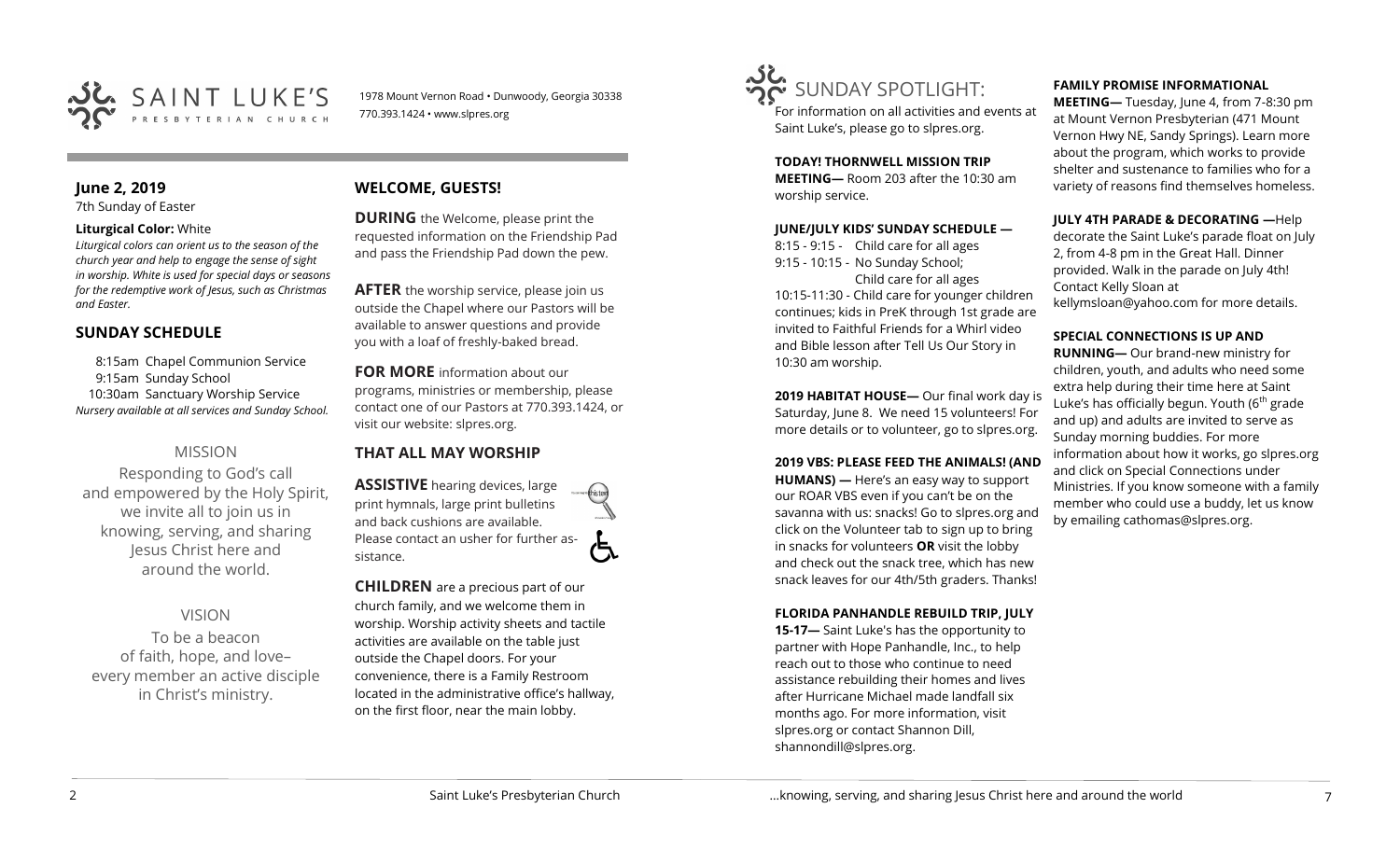

1978 Mount Vernon Road • Dunwoody, Georgia 30338 770.393.1424 • www.slpres.org

# **June 2, 2019**

7th Sunday of Easter

### **Liturgical Color:** White

*Liturgical colors can orient us to the season of the church year and help to engage the sense of sight in worship. White is used for special days or seasons for the redemptive work of Jesus, such as Christmas and Easter.*

## **SUNDAY SCHEDULE**

8:15am Chapel Communion Service 9:15am Sunday School 10:30am Sanctuary Worship Service *Nursery available at all services and Sunday School.* 

## MISSION

Responding to God's call and empowered by the Holy Spirit, we invite all to join us in knowing, serving, and sharing Jesus Christ here and around the world.

# VISION

To be a beacon of faith, hope, and love– every member an active disciple in Christ's ministry.

# **WELCOME, GUESTS!**

**DURING** the Welcome, please print the requested information on the Friendship Pad and pass the Friendship Pad down the pew.

**AFTER** the worship service, please join us outside the Chapel where our Pastors will be available to answer questions and provide you with a loaf of freshly-baked bread.

**FOR MORE** information about our programs, ministries or membership, please contact one of our Pastors at 770.393.1424, or visit our website: slpres.org.

## **THAT ALL MAY WORSHIP**

**ASSISTIVE** hearing devices, large print hymnals, large print bulletins and back cushions are available. Please contact an usher for further assistance.

**CHILDREN** are a precious part of our church family, and we welcome them in worship. Worship activity sheets and tactile activities are available on the table just outside the Chapel doors. For your convenience, there is a Family Restroom located in the administrative office's hallway, on the first floor, near the main lobby.



For information on all activities and events at Saint Luke's, please go to slpres.org.

**TODAY! THORNWELL MISSION TRIP MEETING—** Room 203 after the 10:30 am worship service.

## **JUNE/JULY KIDS' SUNDAY SCHEDULE —**

8:15 - 9:15 - Child care for all ages 9:15 - 10:15 - No Sunday School; Child care for all ages 10:15-11:30 - Child care for younger children

continues; kids in PreK through 1st grade are invited to Faithful Friends for a Whirl video and Bible lesson after Tell Us Our Story in 10:30 am worship.

**2019 HABITAT HOUSE—** Our final work day is Saturday, June 8. We need 15 volunteers! For more details or to volunteer, go to slpres.org.

## **2019 VBS: PLEASE FEED THE ANIMALS! (AND**

**HUMANS) —** Here's an easy way to support our ROAR VBS even if you can't be on the savanna with us: snacks! Go to slpres.org and click on the Volunteer tab to sign up to bring in snacks for volunteers **OR** visit the lobby and check out the snack tree, which has new snack leaves for our 4th/5th graders. Thanks!

## **FLORIDA PANHANDLE REBUILD TRIP, JULY**

**15-17—** Saint Luke's has the opportunity to partner with Hope Panhandle, Inc., to help reach out to those who continue to need assistance rebuilding their homes and lives after Hurricane Michael made landfall six months ago. For more information, visit slpres.org or contact Shannon Dill, shannondill@slpres.org.

## **FAMILY PROMISE INFORMATIONAL**

**MEETING—** Tuesday, June 4, from 7-8:30 pm at Mount Vernon Presbyterian (471 Mount Vernon Hwy NE, Sandy Springs). Learn more about the program, which works to provide shelter and sustenance to families who for a variety of reasons find themselves homeless.

## **JULY 4TH PARADE & DECORATING —**Help

decorate the Saint Luke's parade float on July 2, from 4-8 pm in the Great Hall. Dinner provided. Walk in the parade on July 4th! Contact Kelly Sloan at kellymsloan@yahoo.com for more details.

## **SPECIAL CONNECTIONS IS UP AND**

**RUNNING—** Our brand-new ministry for children, youth, and adults who need some extra help during their time here at Saint Luke's has officially begun. Youth  $(6<sup>th</sup>$  grade and up) and adults are invited to serve as Sunday morning buddies. For more information about how it works, go slpres.org and click on Special Connections under Ministries. If you know someone with a family member who could use a buddy, let us know by emailing [cathomas@slpres.org.](mailto:cathomas@slpres.org)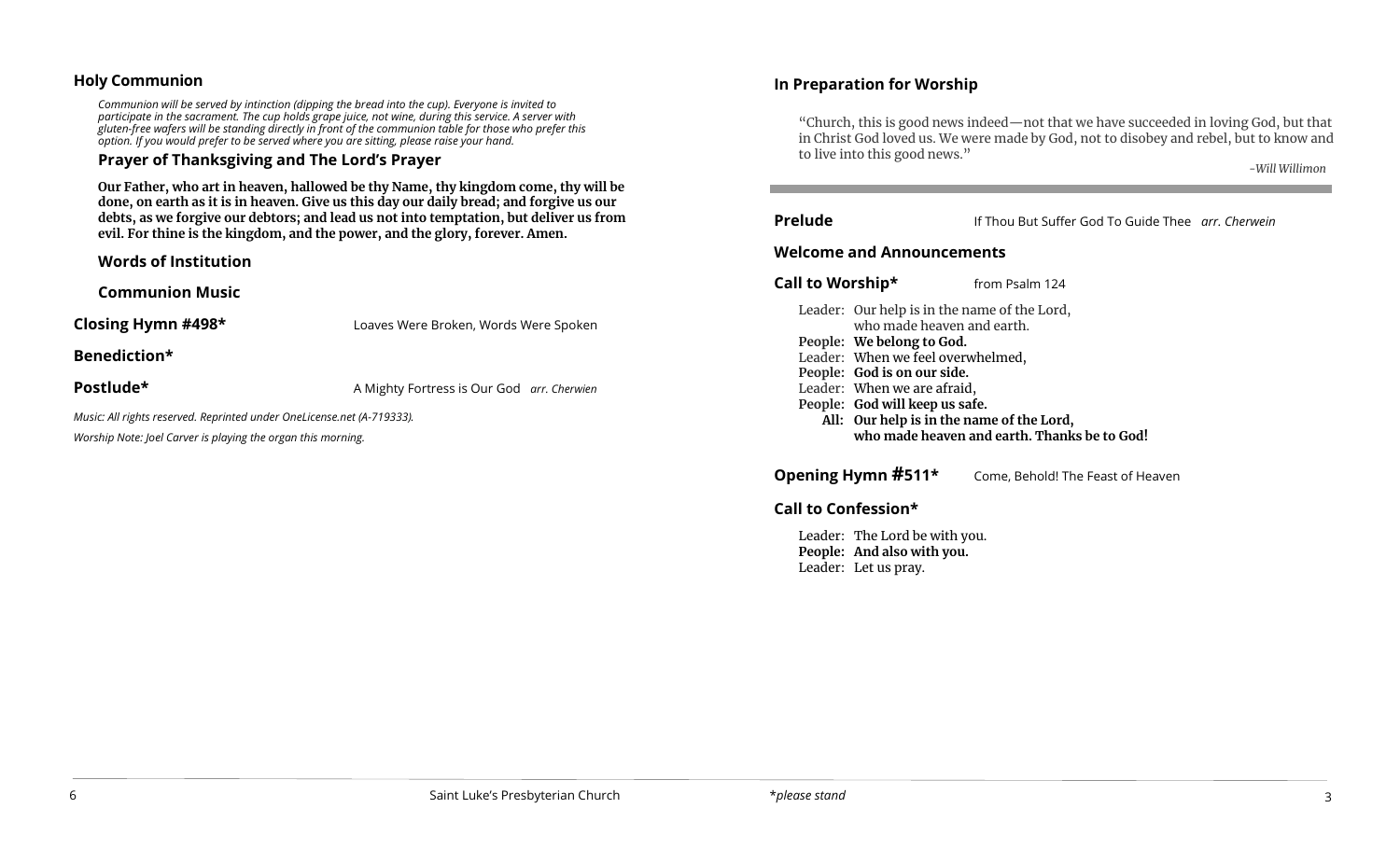## **Holy Communion**

*Communion will be served by intinction (dipping the bread into the cup). Everyone is invited to participate in the sacrament. The cup holds grape juice, not wine, during this service. A server with gluten-free wafers will be standing directly in front of the communion table for those who prefer this option. If you would prefer to be served where you are sitting, please raise your hand.*

# **Prayer of Thanksgiving and The Lord's Prayer**

**Our Father, who art in heaven, hallowed be thy Name, thy kingdom come, thy will be done, on earth as it is in heaven. Give us this day our daily bread; and forgive us our debts, as we forgive our debtors; and lead us not into temptation, but deliver us from evil. For thine is the kingdom, and the power, and the glory, forever. Amen.**

**Words of Institution**

**Communion Music**

**Closing Hymn #498\*** Loaves Were Broken, Words Were Spoken

**Benediction\*** 

**Postlude\* A Mighty Fortress is Our God** *arr. Cherwien* 

*Music: All rights reserved. Reprinted under OneLicense.net (A-719333).*

*Worship Note: Joel Carver is playing the organ this morning.*

# **In Preparation for Worship**

"Church, this is good news indeed—not that we have succeeded in loving God, but that in Christ God loved us. We were made by God, not to disobey and rebel, but to know and to live into this good news."

Ī

*-Will Willimon*

**Prelude** If Thou But Suffer God To Guide Thee *arr. Cherwein*

# **Welcome and Announcements**

**Call to Worship\* from Psalm 124** 

Leader: Our help is in the name of the Lord, who made heaven and earth.

í

- **People: We belong to God.**
- Leader: When we feel overwhelmed,
- **People: God is on our side.**
- Leader: When we are afraid,
- **People: God will keep us safe.**
	- **All: Our help is in the name of the Lord, who made heaven and earth. Thanks be to God!**

**Opening Hymn #511\*** Come, Behold! The Feast of Heaven

# **Call to Confession\***

Leader: The Lord be with you. **People: And also with you.**  Leader: Let us pray.